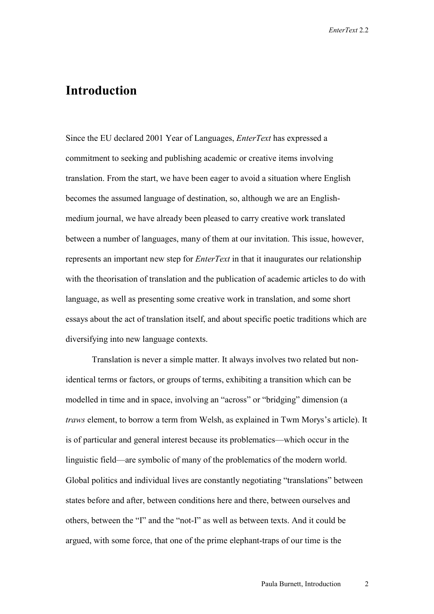## **Introduction**

Since the EU declared 2001 Year of Languages, *EnterText* has expressed a commitment to seeking and publishing academic or creative items involving translation. From the start, we have been eager to avoid a situation where English becomes the assumed language of destination, so, although we are an Englishmedium journal, we have already been pleased to carry creative work translated between a number of languages, many of them at our invitation. This issue, however, represents an important new step for *EnterText* in that it inaugurates our relationship with the theorisation of translation and the publication of academic articles to do with language, as well as presenting some creative work in translation, and some short essays about the act of translation itself, and about specific poetic traditions which are diversifying into new language contexts.

Translation is never a simple matter. It always involves two related but nonidentical terms or factors, or groups of terms, exhibiting a transition which can be modelled in time and in space, involving an "across" or "bridging" dimension (a *traws* element, to borrow a term from Welsh, as explained in Twm Morys's article). It is of particular and general interest because its problematics—which occur in the linguistic field—are symbolic of many of the problematics of the modern world. Global politics and individual lives are constantly negotiating "translations" between states before and after, between conditions here and there, between ourselves and others, between the "I" and the "not-I" as well as between texts. And it could be argued, with some force, that one of the prime elephant-traps of our time is the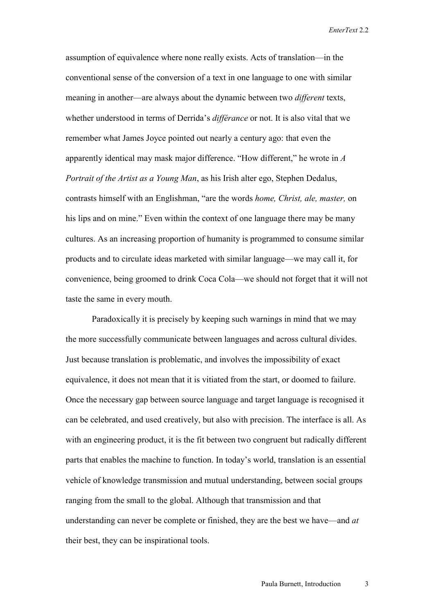assumption of equivalence where none really exists. Acts of translation—in the conventional sense of the conversion of a text in one language to one with similar meaning in another—are always about the dynamic between two *different* texts, whether understood in terms of Derrida's *différance* or not. It is also vital that we remember what James Joyce pointed out nearly a century ago: that even the apparently identical may mask major difference. "How different," he wrote in *A Portrait of the Artist as a Young Man*, as his Irish alter ego, Stephen Dedalus, contrasts himself with an Englishman, "are the words *home, Christ, ale, master,* on his lips and on mine." Even within the context of one language there may be many cultures. As an increasing proportion of humanity is programmed to consume similar products and to circulate ideas marketed with similar language—we may call it, for convenience, being groomed to drink Coca Cola—we should not forget that it will not taste the same in every mouth.

 Paradoxically it is precisely by keeping such warnings in mind that we may the more successfully communicate between languages and across cultural divides. Just because translation is problematic, and involves the impossibility of exact equivalence, it does not mean that it is vitiated from the start, or doomed to failure. Once the necessary gap between source language and target language is recognised it can be celebrated, and used creatively, but also with precision. The interface is all. As with an engineering product, it is the fit between two congruent but radically different parts that enables the machine to function. In today's world, translation is an essential vehicle of knowledge transmission and mutual understanding, between social groups ranging from the small to the global. Although that transmission and that understanding can never be complete or finished, they are the best we have—and *at* their best, they can be inspirational tools.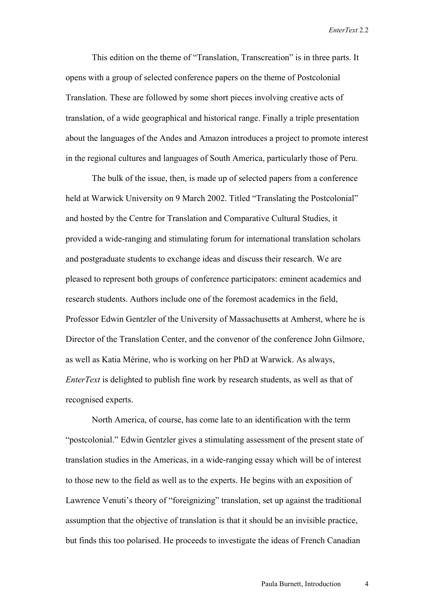This edition on the theme of "Translation, Transcreation" is in three parts. It opens with a group of selected conference papers on the theme of Postcolonial Translation. These are followed by some short pieces involving creative acts of translation, of a wide geographical and historical range. Finally a triple presentation about the languages of the Andes and Amazon introduces a project to promote interest in the regional cultures and languages of South America, particularly those of Peru.

 The bulk of the issue, then, is made up of selected papers from a conference held at Warwick University on 9 March 2002. Titled "Translating the Postcolonial" and hosted by the Centre for Translation and Comparative Cultural Studies, it provided a wide-ranging and stimulating forum for international translation scholars and postgraduate students to exchange ideas and discuss their research. We are pleased to represent both groups of conference participators: eminent academics and research students. Authors include one of the foremost academics in the field, Professor Edwin Gentzler of the University of Massachusetts at Amherst, where he is Director of the Translation Center, and the convenor of the conference John Gilmore, as well as Katia Mérine, who is working on her PhD at Warwick. As always, *EnterText* is delighted to publish fine work by research students, as well as that of recognised experts.

North America, of course, has come late to an identification with the term "postcolonial." Edwin Gentzler gives a stimulating assessment of the present state of translation studies in the Americas, in a wide-ranging essay which will be of interest to those new to the field as well as to the experts. He begins with an exposition of Lawrence Venuti's theory of "foreignizing" translation, set up against the traditional assumption that the objective of translation is that it should be an invisible practice, but finds this too polarised. He proceeds to investigate the ideas of French Canadian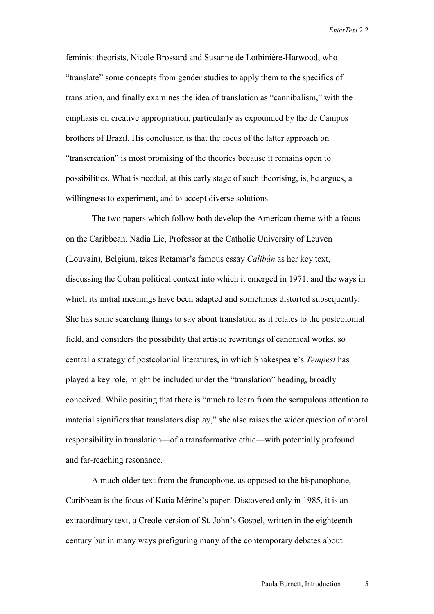feminist theorists, Nicole Brossard and Susanne de Lotbinière-Harwood, who "translate" some concepts from gender studies to apply them to the specifics of translation, and finally examines the idea of translation as "cannibalism," with the emphasis on creative appropriation, particularly as expounded by the de Campos brothers of Brazil. His conclusion is that the focus of the latter approach on "transcreation" is most promising of the theories because it remains open to possibilities. What is needed, at this early stage of such theorising, is, he argues, a willingness to experiment, and to accept diverse solutions.

 The two papers which follow both develop the American theme with a focus on the Caribbean. Nadia Lie, Professor at the Catholic University of Leuven (Louvain), Belgium, takes Retamar's famous essay *Calibán* as her key text, discussing the Cuban political context into which it emerged in 1971, and the ways in which its initial meanings have been adapted and sometimes distorted subsequently. She has some searching things to say about translation as it relates to the postcolonial field, and considers the possibility that artistic rewritings of canonical works, so central a strategy of postcolonial literatures, in which Shakespeare's *Tempest* has played a key role, might be included under the "translation" heading, broadly conceived. While positing that there is "much to learn from the scrupulous attention to material signifiers that translators display," she also raises the wider question of moral responsibility in translation—of a transformative ethic—with potentially profound and far-reaching resonance.

 A much older text from the francophone, as opposed to the hispanophone, Caribbean is the focus of Katia Mérine's paper. Discovered only in 1985, it is an extraordinary text, a Creole version of St. John's Gospel, written in the eighteenth century but in many ways prefiguring many of the contemporary debates about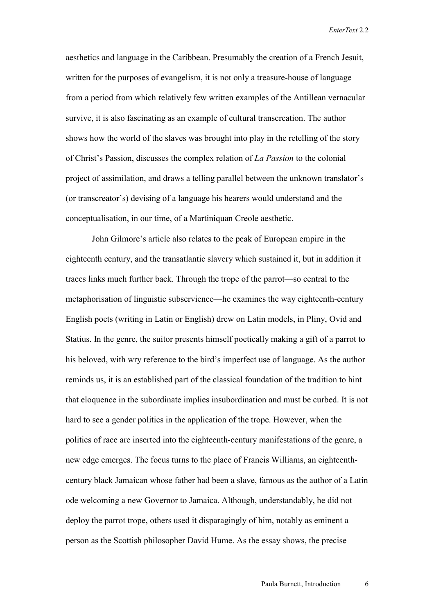aesthetics and language in the Caribbean. Presumably the creation of a French Jesuit, written for the purposes of evangelism, it is not only a treasure-house of language from a period from which relatively few written examples of the Antillean vernacular survive, it is also fascinating as an example of cultural transcreation. The author shows how the world of the slaves was brought into play in the retelling of the story of Christ's Passion, discusses the complex relation of *La Passion* to the colonial project of assimilation, and draws a telling parallel between the unknown translator's (or transcreator's) devising of a language his hearers would understand and the conceptualisation, in our time, of a Martiniquan Creole aesthetic.

 John Gilmore's article also relates to the peak of European empire in the eighteenth century, and the transatlantic slavery which sustained it, but in addition it traces links much further back. Through the trope of the parrot—so central to the metaphorisation of linguistic subservience—he examines the way eighteenth-century English poets (writing in Latin or English) drew on Latin models, in Pliny, Ovid and Statius. In the genre, the suitor presents himself poetically making a gift of a parrot to his beloved, with wry reference to the bird's imperfect use of language. As the author reminds us, it is an established part of the classical foundation of the tradition to hint that eloquence in the subordinate implies insubordination and must be curbed. It is not hard to see a gender politics in the application of the trope. However, when the politics of race are inserted into the eighteenth-century manifestations of the genre, a new edge emerges. The focus turns to the place of Francis Williams, an eighteenthcentury black Jamaican whose father had been a slave, famous as the author of a Latin ode welcoming a new Governor to Jamaica. Although, understandably, he did not deploy the parrot trope, others used it disparagingly of him, notably as eminent a person as the Scottish philosopher David Hume. As the essay shows, the precise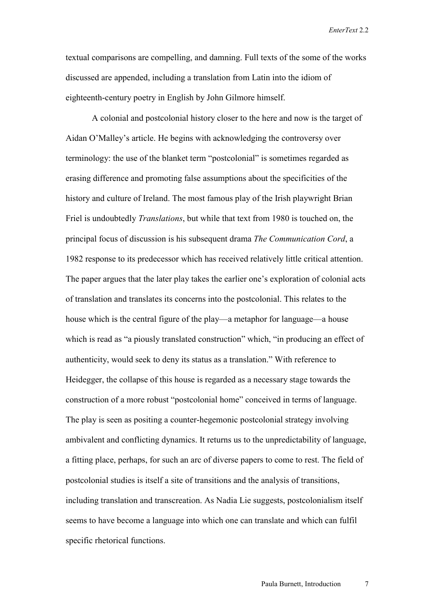textual comparisons are compelling, and damning. Full texts of the some of the works discussed are appended, including a translation from Latin into the idiom of eighteenth-century poetry in English by John Gilmore himself.

 A colonial and postcolonial history closer to the here and now is the target of Aidan O'Malley's article. He begins with acknowledging the controversy over terminology: the use of the blanket term "postcolonial" is sometimes regarded as erasing difference and promoting false assumptions about the specificities of the history and culture of Ireland. The most famous play of the Irish playwright Brian Friel is undoubtedly *Translations*, but while that text from 1980 is touched on, the principal focus of discussion is his subsequent drama *The Communication Cord*, a 1982 response to its predecessor which has received relatively little critical attention. The paper argues that the later play takes the earlier one's exploration of colonial acts of translation and translates its concerns into the postcolonial. This relates to the house which is the central figure of the play—a metaphor for language—a house which is read as "a piously translated construction" which, "in producing an effect of authenticity, would seek to deny its status as a translation." With reference to Heidegger, the collapse of this house is regarded as a necessary stage towards the construction of a more robust "postcolonial home" conceived in terms of language. The play is seen as positing a counter-hegemonic postcolonial strategy involving ambivalent and conflicting dynamics. It returns us to the unpredictability of language, a fitting place, perhaps, for such an arc of diverse papers to come to rest. The field of postcolonial studies is itself a site of transitions and the analysis of transitions, including translation and transcreation. As Nadia Lie suggests, postcolonialism itself seems to have become a language into which one can translate and which can fulfil specific rhetorical functions.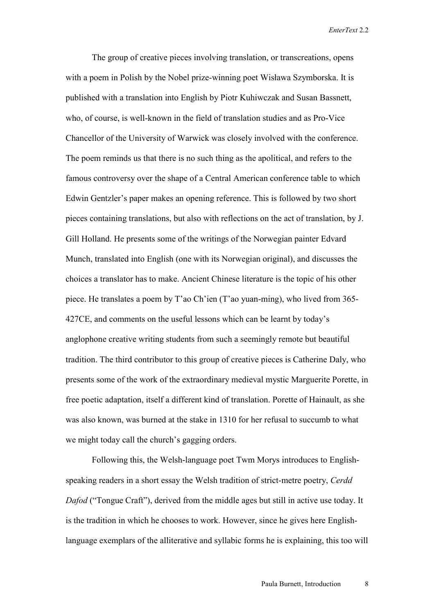The group of creative pieces involving translation, or transcreations, opens with a poem in Polish by the Nobel prize-winning poet Wisława Szymborska. It is published with a translation into English by Piotr Kuhiwczak and Susan Bassnett, who, of course, is well-known in the field of translation studies and as Pro-Vice Chancellor of the University of Warwick was closely involved with the conference. The poem reminds us that there is no such thing as the apolitical, and refers to the famous controversy over the shape of a Central American conference table to which Edwin Gentzler's paper makes an opening reference. This is followed by two short pieces containing translations, but also with reflections on the act of translation, by J. Gill Holland. He presents some of the writings of the Norwegian painter Edvard Munch, translated into English (one with its Norwegian original), and discusses the choices a translator has to make. Ancient Chinese literature is the topic of his other piece. He translates a poem by T'ao Ch'ien (T'ao yuan-ming), who lived from 365- 427CE, and comments on the useful lessons which can be learnt by today's anglophone creative writing students from such a seemingly remote but beautiful tradition. The third contributor to this group of creative pieces is Catherine Daly, who presents some of the work of the extraordinary medieval mystic Marguerite Porette, in free poetic adaptation, itself a different kind of translation. Porette of Hainault, as she was also known, was burned at the stake in 1310 for her refusal to succumb to what we might today call the church's gagging orders.

Following this, the Welsh-language poet Twm Morys introduces to Englishspeaking readers in a short essay the Welsh tradition of strict-metre poetry, *Cerdd Dafod* ("Tongue Craft"), derived from the middle ages but still in active use today. It is the tradition in which he chooses to work. However, since he gives here Englishlanguage exemplars of the alliterative and syllabic forms he is explaining, this too will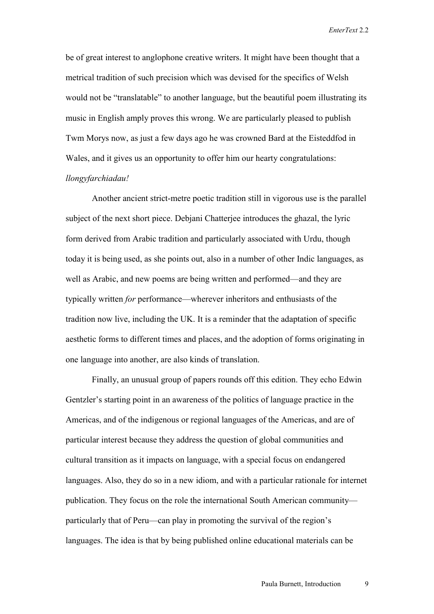be of great interest to anglophone creative writers. It might have been thought that a metrical tradition of such precision which was devised for the specifics of Welsh would not be "translatable" to another language, but the beautiful poem illustrating its music in English amply proves this wrong. We are particularly pleased to publish Twm Morys now, as just a few days ago he was crowned Bard at the Eisteddfod in Wales, and it gives us an opportunity to offer him our hearty congratulations: *llongyfarchiadau!*

 Another ancient strict-metre poetic tradition still in vigorous use is the parallel subject of the next short piece. Debjani Chatterjee introduces the ghazal, the lyric form derived from Arabic tradition and particularly associated with Urdu, though today it is being used, as she points out, also in a number of other Indic languages, as well as Arabic, and new poems are being written and performed—and they are typically written *for* performance—wherever inheritors and enthusiasts of the tradition now live, including the UK. It is a reminder that the adaptation of specific aesthetic forms to different times and places, and the adoption of forms originating in one language into another, are also kinds of translation.

Finally, an unusual group of papers rounds off this edition. They echo Edwin Gentzler's starting point in an awareness of the politics of language practice in the Americas, and of the indigenous or regional languages of the Americas, and are of particular interest because they address the question of global communities and cultural transition as it impacts on language, with a special focus on endangered languages. Also, they do so in a new idiom, and with a particular rationale for internet publication. They focus on the role the international South American community particularly that of Peru—can play in promoting the survival of the region's languages. The idea is that by being published online educational materials can be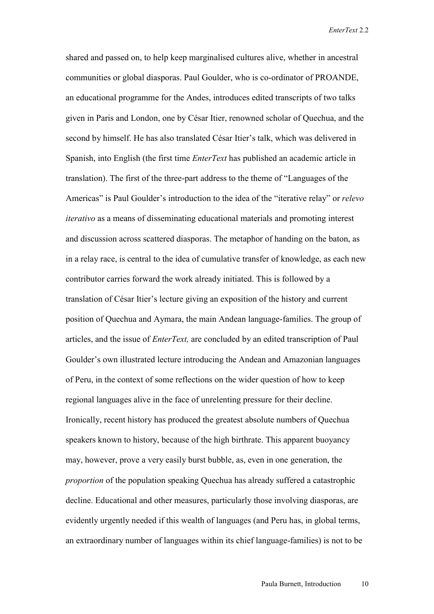shared and passed on, to help keep marginalised cultures alive, whether in ancestral communities or global diasporas. Paul Goulder, who is co-ordinator of PROANDE, an educational programme for the Andes, introduces edited transcripts of two talks given in Paris and London, one by César Itier, renowned scholar of Quechua, and the second by himself. He has also translated César Itier's talk, which was delivered in Spanish, into English (the first time *EnterText* has published an academic article in translation). The first of the three-part address to the theme of "Languages of the Americas" is Paul Goulder's introduction to the idea of the "iterative relay" or *relevo iterativo* as a means of disseminating educational materials and promoting interest and discussion across scattered diasporas. The metaphor of handing on the baton, as in a relay race, is central to the idea of cumulative transfer of knowledge, as each new contributor carries forward the work already initiated. This is followed by a translation of César Itier's lecture giving an exposition of the history and current position of Quechua and Aymara, the main Andean language-families. The group of articles, and the issue of *EnterText,* are concluded by an edited transcription of Paul Goulder's own illustrated lecture introducing the Andean and Amazonian languages of Peru, in the context of some reflections on the wider question of how to keep regional languages alive in the face of unrelenting pressure for their decline. Ironically, recent history has produced the greatest absolute numbers of Quechua speakers known to history, because of the high birthrate. This apparent buoyancy may, however, prove a very easily burst bubble, as, even in one generation, the *proportion* of the population speaking Quechua has already suffered a catastrophic decline. Educational and other measures, particularly those involving diasporas, are evidently urgently needed if this wealth of languages (and Peru has, in global terms, an extraordinary number of languages within its chief language-families) is not to be